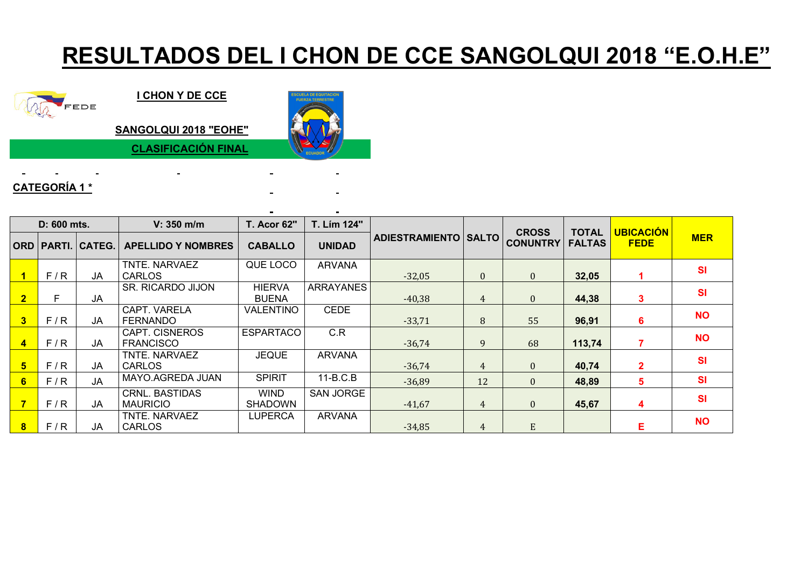## **RESULTADOS DEL I CHON DE CCE SANGOLQUI 2018 "E.O.H.E"**



**I CHON Y DE CCE**

**SANGOLQUI 2018 "EOHE"**

**CLASIFICACIÓN FINAL**

## **CATEGORÍA 1 \***

| D: 600 mts.          |     |                       | $V: 350$ m/m                             | <b>T. Acor 62"</b>            | T. Lím 124"      |                               |          | <b>CROSS</b>    | <b>TOTAL</b>  | <b>UBICACIÓN</b> |            |
|----------------------|-----|-----------------------|------------------------------------------|-------------------------------|------------------|-------------------------------|----------|-----------------|---------------|------------------|------------|
|                      |     | ORD   PARTI.   CATEG. | <b>APELLIDO Y NOMBRES</b>                | <b>CABALLO</b>                | <b>UNIDAD</b>    | <b>ADIESTRAMIENTO   SALTO</b> |          | <b>CONUNTRY</b> | <b>FALTAS</b> | <b>FEDE</b>      | <b>MER</b> |
|                      | F/R | JA                    | TNTE. NARVAEZ<br><b>CARLOS</b>           | QUE LOCO                      | <b>ARVANA</b>    | $-32,05$                      | $\theta$ | $\theta$        | 32,05         |                  | <b>SI</b>  |
| $\overline{2}$       | Е   | JA                    | <b>SR. RICARDO JIJON</b>                 | <b>HIERVA</b><br><b>BUENA</b> | <b>ARRAYANES</b> | $-40,38$                      | 4        | $\mathbf{0}$    | 44,38         | -5               | <b>SI</b>  |
| $\mathbf{3}$         | F/R | JA                    | CAPT. VARELA<br><b>FERNANDO</b>          | VALENTINO                     | <b>CEDE</b>      | $-33,71$                      | 8        | 55              | 96,91         | ห                | <b>NO</b>  |
| $\blacktriangleleft$ | F/R | JA                    | CAPT. CISNEROS<br><b>FRANCISCO</b>       | <b>ESPARTACO</b>              | C.R              | $-36,74$                      | 9        | 68              | 113,74        |                  | <b>NO</b>  |
| 5 <sup>5</sup>       | F/R | JA                    | TNTE. NARVAEZ<br><b>CARLOS</b>           | <b>JEQUE</b>                  | <b>ARVANA</b>    | $-36,74$                      | 4        | $\theta$        | 40,74         |                  | <b>SI</b>  |
| 6                    | F/R | <b>JA</b>             | MAYO.AGREDA JUAN                         | <b>SPIRIT</b>                 | $11-B.C.B$       | $-36,89$                      | 12       | $\mathbf{0}$    | 48,89         | 5                | <b>SI</b>  |
|                      | F/R | JA                    | <b>CRNL. BASTIDAS</b><br><b>MAURICIO</b> | <b>WIND</b><br><b>SHADOWN</b> | <b>SAN JORGE</b> | $-41,67$                      | 4        | $\mathbf{0}$    | 45,67         | 4                | <b>SI</b>  |
| $\bf{8}$             | F/R | JA                    | TNTE. NARVAEZ<br><b>CARLOS</b>           | <b>LUPERCA</b>                | <b>ARVANA</b>    | $-34,85$                      | 4        | E               |               | Е                | <b>NO</b>  |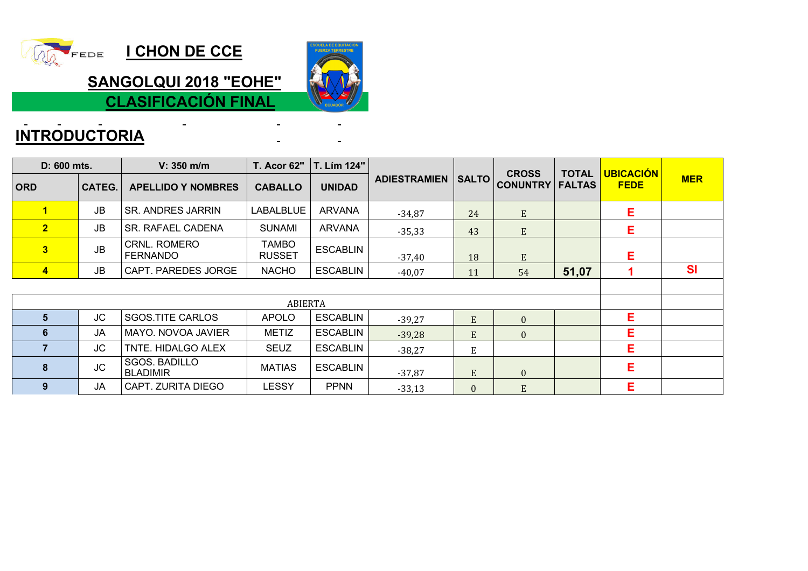

**I CHON DE CCE** 

**SANGOLQUI 2018 "EOHE"**

**CLASIFICACIÓN FINAL**

 $\blacksquare$ 

 $\sim$ 

## **INTRODUCTORIA**

| D: 600 mts.             |               | V: 350 m/m                              | <b>T. Acor 62"</b>     | T. Lím 124"     |                     |              |                                 |                               |                                 |            |
|-------------------------|---------------|-----------------------------------------|------------------------|-----------------|---------------------|--------------|---------------------------------|-------------------------------|---------------------------------|------------|
| <b>ORD</b>              | <b>CATEG.</b> | <b>APELLIDO Y NOMBRES</b>               | <b>CABALLO</b>         | <b>UNIDAD</b>   | <b>ADIESTRAMIEN</b> | <b>SALTO</b> | <b>CROSS</b><br><b>CONUNTRY</b> | <b>TOTAL</b><br><b>FALTAS</b> | <b>UBICACIÓN</b><br><b>FEDE</b> | <b>MER</b> |
| $\mathbf{1}$            | <b>JB</b>     | <b>SR. ANDRES JARRIN</b>                | <b>LABALBLUE</b>       | ARVANA          | $-34,87$            | 24           | E                               |                               | E.                              |            |
| $\overline{2}$          | JB.           | SR. RAFAEL CADENA                       | <b>SUNAMI</b>          | <b>ARVANA</b>   | $-35,33$            | 43           | ${\bf E}$                       |                               | E.                              |            |
| 3                       | <b>JB</b>     | <b>CRNL. ROMERO</b><br><b>FERNANDO</b>  | TAMBO<br><b>RUSSET</b> | <b>ESCABLIN</b> | $-37,40$            | 18           | E                               |                               | Е                               |            |
| $\overline{\mathbf{4}}$ | <b>JB</b>     | CAPT. PAREDES JORGE                     | <b>NACHO</b>           | <b>ESCABLIN</b> | $-40,07$            | 11           | 54                              | 51,07                         |                                 | <b>SI</b>  |
|                         |               |                                         |                        |                 |                     |              |                                 |                               |                                 |            |
|                         |               |                                         |                        |                 |                     |              |                                 |                               |                                 |            |
| $5\phantom{1}$          | <b>JC</b>     | <b>SGOS.TITE CARLOS</b>                 | <b>APOLO</b>           | <b>ESCABLIN</b> | $-39,27$            | ${\bf E}$    | $\overline{0}$                  |                               | Е                               |            |
| 6                       | <b>JA</b>     | MAYO. NOVOA JAVIER                      | <b>METIZ</b>           | <b>ESCABLIN</b> | $-39,28$            | E            | $\mathbf{0}$                    |                               | Е                               |            |
| $\overline{\mathbf{z}}$ | JC            | TNTE. HIDALGO ALEX                      | <b>SEUZ</b>            | <b>ESCABLIN</b> | $-38,27$            | E            |                                 |                               | Е                               |            |
| 8                       | <b>JC</b>     | <b>SGOS. BADILLO</b><br><b>BLADIMIR</b> | <b>MATIAS</b>          | <b>ESCABLIN</b> | $-37,87$            | E            | $\overline{0}$                  |                               | E                               |            |
| 9                       | <b>JA</b>     | CAPT. ZURITA DIEGO                      | <b>LESSY</b>           | <b>PPNN</b>     | $-33,13$            | $\mathbf{0}$ | E                               |                               | Е                               |            |

 $\blacksquare$  $\mathbf{r}$